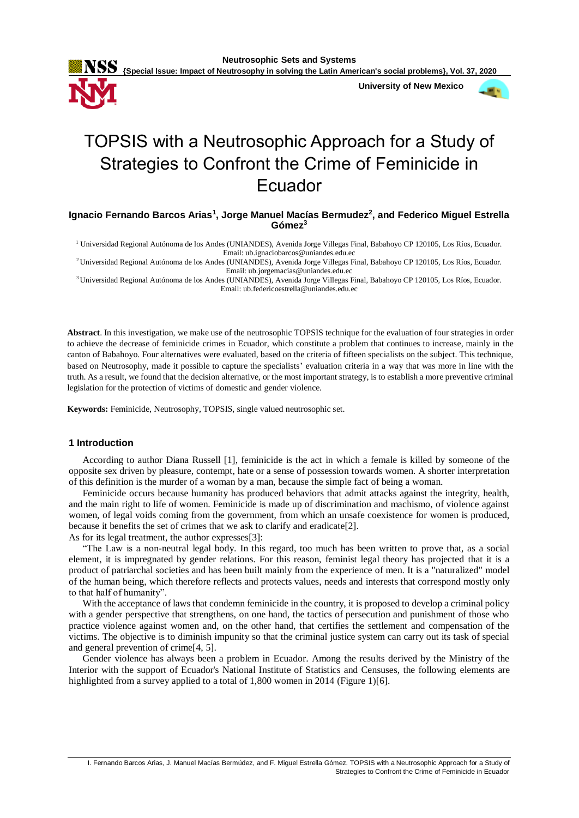

 **University of New Mexico**



# TOPSIS with a Neutrosophic Approach for a Study of Strategies to Confront the Crime of Feminicide in Ecuador

**Ignacio Fernando Barcos Arias<sup>1</sup> , Jorge Manuel Macías Bermudez<sup>2</sup> , and Federico Miguel Estrella Gómez<sup>3</sup>**

<sup>1</sup> Universidad Regional Autónoma de los Andes (UNIANDES), Avenida Jorge Villegas Final, Babahoyo CP 120105, Los Ríos, Ecuador. Email: ub.ignaciobarcos@uniandes.edu.ec

<sup>2</sup>Universidad Regional Autónoma de los Andes (UNIANDES), Avenida Jorge Villegas Final, Babahoyo CP 120105, Los Ríos, Ecuador. Email: ub.jorgemacias@uniandes.edu.ec

<sup>3</sup>Universidad Regional Autónoma de los Andes (UNIANDES), Avenida Jorge Villegas Final, Babahoyo CP 120105, Los Ríos, Ecuador. Email: ub.federicoestrella@uniandes.edu.ec

**Abstract**. In this investigation, we make use of the neutrosophic TOPSIS technique for the evaluation of four strategies in order to achieve the decrease of feminicide crimes in Ecuador, which constitute a problem that continues to increase, mainly in the canton of Babahoyo. Four alternatives were evaluated, based on the criteria of fifteen specialists on the subject. This technique, based on Neutrosophy, made it possible to capture the specialists' evaluation criteria in a way that was more in line with the truth. As a result, we found that the decision alternative, or the most important strategy, is to establish a more preventive criminal legislation for the protection of victims of domestic and gender violence.

**Keywords:** Feminicide, Neutrosophy, TOPSIS, single valued neutrosophic set.

# **1 Introduction**

According to author Diana Russell [1], feminicide is the act in which a female is killed by someone of the opposite sex driven by pleasure, contempt, hate or a sense of possession towards women. A shorter interpretation of this definition is the murder of a woman by a man, because the simple fact of being a woman.

Feminicide occurs because humanity has produced behaviors that admit attacks against the integrity, health, and the main right to life of women. Feminicide is made up of discrimination and machismo, of violence against women, of legal voids coming from the government, from which an unsafe coexistence for women is produced, because it benefits the set of crimes that we ask to clarify and eradicate[2]. As for its legal treatment, the author expresses[3]:

"The Law is a non-neutral legal body. In this regard, too much has been written to prove that, as a social element, it is impregnated by gender relations. For this reason, feminist legal theory has projected that it is a product of patriarchal societies and has been built mainly from the experience of men. It is a "naturalized" model of the human being, which therefore reflects and protects values, needs and interests that correspond mostly only to that half of humanity".

With the acceptance of laws that condemn feminicide in the country, it is proposed to develop a criminal policy with a gender perspective that strengthens, on one hand, the tactics of persecution and punishment of those who practice violence against women and, on the other hand, that certifies the settlement and compensation of the victims. The objective is to diminish impunity so that the criminal justice system can carry out its task of special and general prevention of crime[4, 5].

Gender violence has always been a problem in Ecuador. Among the results derived by the Ministry of the Interior with the support of Ecuador's National Institute of Statistics and Censuses, the following elements are highlighted from a survey applied to a total of 1,800 women in 2014 (Figure 1)[6].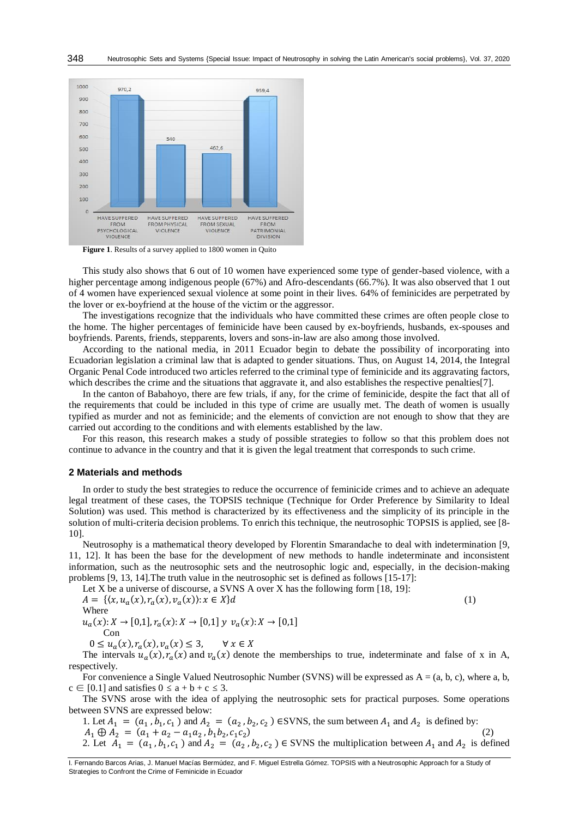

**Figure 1**. Results of a survey applied to 1800 women in Quito

This study also shows that 6 out of 10 women have experienced some type of gender-based violence, with a higher percentage among indigenous people (67%) and Afro-descendants (66.7%). It was also observed that 1 out of 4 women have experienced sexual violence at some point in their lives. 64% of feminicides are perpetrated by the lover or ex-boyfriend at the house of the victim or the aggressor.

The investigations recognize that the individuals who have committed these crimes are often people close to the home. The higher percentages of feminicide have been caused by ex-boyfriends, husbands, ex-spouses and boyfriends. Parents, friends, stepparents, lovers and sons-in-law are also among those involved.

According to the national media, in 2011 Ecuador begin to debate the possibility of incorporating into Ecuadorian legislation a criminal law that is adapted to gender situations. Thus, on August 14, 2014, the Integral Organic Penal Code introduced two articles referred to the criminal type of feminicide and its aggravating factors, which describes the crime and the situations that aggravate it, and also establishes the respective penalties[7].

In the canton of Babahoyo, there are few trials, if any, for the crime of feminicide, despite the fact that all of the requirements that could be included in this type of crime are usually met. The death of women is usually typified as murder and not as feminicide; and the elements of conviction are not enough to show that they are carried out according to the conditions and with elements established by the law.

For this reason, this research makes a study of possible strategies to follow so that this problem does not continue to advance in the country and that it is given the legal treatment that corresponds to such crime.

### **2 Materials and methods**

In order to study the best strategies to reduce the occurrence of feminicide crimes and to achieve an adequate legal treatment of these cases, the TOPSIS technique (Technique for Order Preference by Similarity to Ideal Solution) was used. This method is characterized by its effectiveness and the simplicity of its principle in the solution of multi-criteria decision problems. To enrich this technique, the neutrosophic TOPSIS is applied, see [8- 10].

Neutrosophy is a mathematical theory developed by Florentin Smarandache to deal with indetermination [9, 11, 12]. It has been the base for the development of new methods to handle indeterminate and inconsistent information, such as the neutrosophic sets and the neutrosophic logic and, especially, in the decision-making problems [9, 13, 14].The truth value in the neutrosophic set is defined as follows [15-17]:

Let X be a universe of discourse, a SVNS A over X has the following form [18, 19]:  $A = \{(x, u_a(x), r_a(x), v_a(x)) : x \in X\}$ d (1) Where  $u_a(x): X \to [0,1], r_a(x): X \to [0,1]$   $y \, v_a(x): X \to [0,1]$ Con

 $0 \le u_a(x), r_a(x), v_a(x) \le 3, \quad \forall x \in X$ 

The intervals  $u_a(x)$ ,  $r_a(x)$  and  $v_a(x)$  denote the memberships to true, indeterminate and false of x in A, respectively.

For convenience a Single Valued Neutrosophic Number (SVNS) will be expressed as  $A = (a, b, c)$ , where a, b,  $c \in [0.1]$  and satisfies  $0 \le a + b + c \le 3$ .

The SVNS arose with the idea of applying the neutrosophic sets for practical purposes. Some operations between SVNS are expressed below:

1. Let  $A_1 = (a_1, b_1, c_1)$  and  $A_2 = (a_2, b_2, c_2)$  ESVNS, the sum between  $A_1$  and  $A_2$  is defined by:  $A_1 \oplus A_2 = (a_1 + a_2 - a_1 a_2, b_1 b_2, c_1 c_2)$  (2)

2. Let  $A_1 = (a_1, b_1, c_1)$  and  $A_2 = (a_2, b_2, c_2) \in$  SVNS the multiplication between  $A_1$  and  $A_2$  is defined

I. Fernando Barcos Arias, J. Manuel Macías Bermúdez, and F. Miguel Estrella Gómez. TOPSIS with a Neutrosophic Approach for a Study of Strategies to Confront the Crime of Feminicide in Ecuador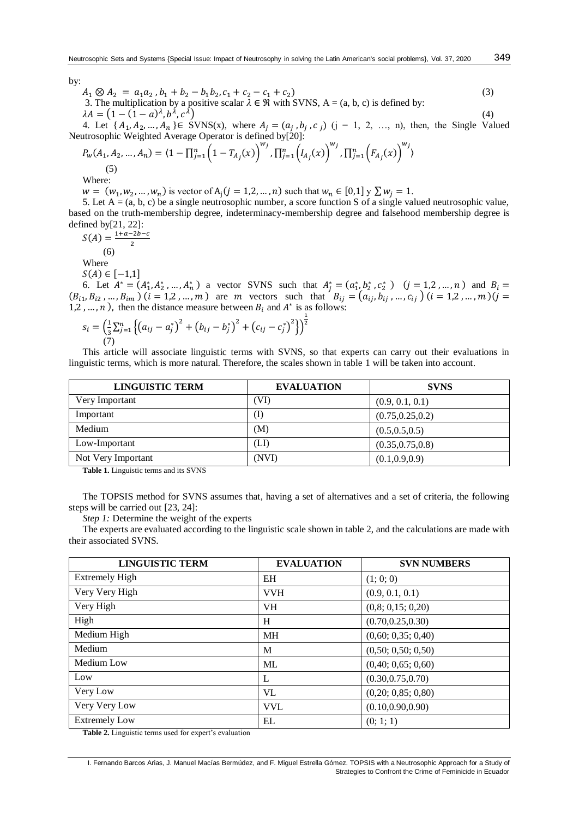by:

$$
A_1 \otimes A_2 = a_1 a_2, b_1 + b_2 - b_1 b_2, c_1 + c_2 - c_1 + c_2
$$
  
3. The multiplication by a positive scalar  $\lambda \in \mathcal{R}$  with SVMS, A = (a, b, c) is defined by:  

$$
\lambda A = (1 - (1 - a)^{\lambda}, b^{\lambda}, c^{\lambda})
$$
 (4)

4. Let  $\{A_1, A_2, ..., A_n\} \in SVMS(x)$ , where  $A_j = (a_j, b_j, c_j)$   $(j = 1, 2, ..., n)$ , then, the Single Valued Neutrosophic Weighted Average Operator is defined by [20]:

$$
P_w(A_1, A_2, ..., A_n) = \langle 1 - \prod_{j=1}^n \left(1 - T_{A_j}(x)\right)^{w_j}, \prod_{j=1}^n \left(I_{A_j}(x)\right)^{w_j}, \prod_{j=1}^n \left(F_{A_j}(x)\right)^{w_j}\rangle
$$
\n(5)

Where:

 $w = (w_1, w_2, ..., w_n)$  is vector of  $A_j (j = 1, 2, ..., n)$  such that  $w_n \in [0, 1]$   $y \sum w_j = 1$ .

5. Let  $A = (a, b, c)$  be a single neutrosophic number, a score function S of a single valued neutrosophic value, based on the truth-membership degree, indeterminacy-membership degree and falsehood membership degree is defined by[21, 22]:

$$
S(A) = \frac{1+a-2b-c}{2}
$$

(6) Where

 $S(A) \in [-1,1]$ 

6. Let  $A^* = (A_1^*, A_2^*, \dots, A_n^*)$  a vector SVNS such that  $A_j^* = (a_1^*, b_2^*, c_2^*)$   $(j = 1, 2, \dots, n)$  and  $B_i =$  $(B_{i1}, B_{i2}, ..., B_{im})$   $(i = 1, 2, ..., m)$  are m vectors such that  $B_{ij} = (a_{ij}, b_{ij}, ..., c_{ij})$   $(i = 1, 2, ..., m)$   $(j = 1, 2, ..., m)$ 1,2, ..., *n*), then the distance measure between  $B_i$  and  $A^*$  is as follows:

$$
s_i = \left(\frac{1}{3}\sum_{j=1}^n \left\{ \left(a_{ij} - a_j^*\right)^2 + \left(b_{ij} - b_j^*\right)^2 + \left(c_{ij} - c_j^*\right)^2 \right\} \right)^{\frac{1}{2}}
$$
  
(7)

This article will associate linguistic terms with SVNS, so that experts can carry out their evaluations in linguistic terms, which is more natural. Therefore, the scales shown in table 1 will be taken into account.

| <b>LINGUISTIC TERM</b> | <b>EVALUATION</b> | <b>SVNS</b>       |
|------------------------|-------------------|-------------------|
| Very Important         | ´VI)              | (0.9, 0.1, 0.1)   |
| Important              | (I)               | (0.75, 0.25, 0.2) |
| Medium                 | M)                | (0.5, 0.5, 0.5)   |
| Low-Important          | 'LI)              | (0.35, 0.75, 0.8) |
| Not Very Important     | (NVI)             | (0.1, 0.9, 0.9)   |

**Table 1.** Linguistic terms and its SVNS

The TOPSIS method for SVNS assumes that, having a set of alternatives and a set of criteria, the following steps will be carried out [23, 24]:

*Step 1:* Determine the weight of the experts

The experts are evaluated according to the linguistic scale shown in table 2, and the calculations are made with their associated SVNS.

| <b>LINGUISTIC TERM</b> | <b>EVALUATION</b> | <b>SVN NUMBERS</b> |
|------------------------|-------------------|--------------------|
| <b>Extremely High</b>  | <b>EH</b>         | (1; 0; 0)          |
| Very Very High         | <b>VVH</b>        | (0.9, 0.1, 0.1)    |
| Very High              | <b>VH</b>         | (0,8; 0,15; 0,20)  |
| High                   | Η                 | (0.70, 0.25, 0.30) |
| Medium High            | <b>MH</b>         | (0,60; 0,35; 0,40) |
| Medium                 | M                 | (0,50; 0,50; 0,50) |
| Medium Low             | ML                | (0,40; 0,65; 0,60) |
| Low                    | L                 | (0.30, 0.75, 0.70) |
| Very Low               | VL                | (0,20; 0,85; 0,80) |
| Very Very Low          | <b>VVL</b>        | (0.10, 0.90, 0.90) |
| <b>Extremely Low</b>   | EL                | (0; 1; 1)          |

**Table 2.** Linguistic terms used for expert's evaluation

I. Fernando Barcos Arias, J. Manuel Macías Bermúdez, and F. Miguel Estrella Gómez. TOPSIS with a Neutrosophic Approach for a Study of Strategies to Confront the Crime of Feminicide in Ecuador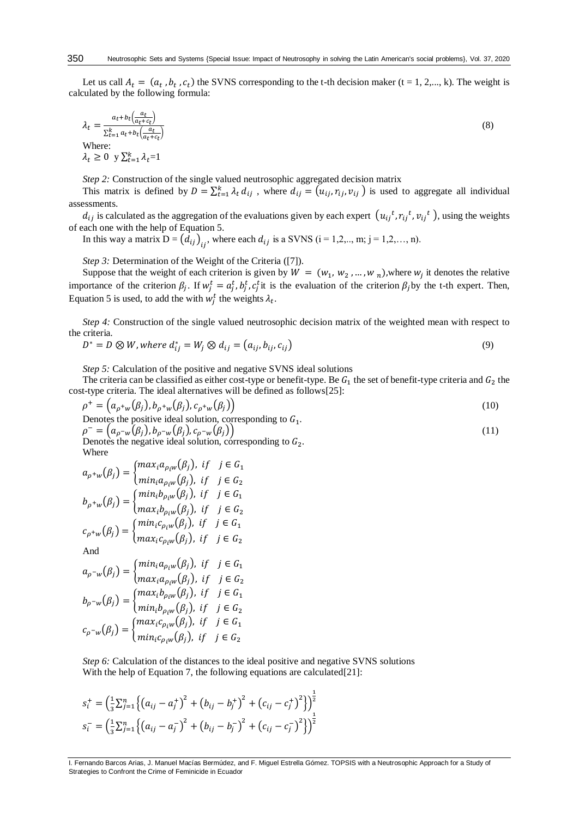Let us call  $A_t = (a_t, b_t, c_t)$  the SVNS corresponding to the t-th decision maker (t = 1, 2,..., k). The weight is calculated by the following formula:

$$
\lambda_t = \frac{a_t + b_t \left(\frac{a_t}{a_t + c_t}\right)}{\sum_{t=1}^k a_t + b_t \left(\frac{a_t}{a_t + c_t}\right)}
$$
\nWhere:  
\n
$$
\lambda_t \geq 0 \text{ y } \sum_{t=1}^k \lambda_t = 1
$$
\n(8)

*Step 2:* Construction of the single valued neutrosophic aggregated decision matrix

This matrix is defined by  $D = \sum_{t=1}^{k} \lambda_t d_{ij}$ , where  $d_{ij} = (u_{ij}, r_{ij}, v_{ij})$  is used to aggregate all individual assessments.

 $d_{ij}$  is calculated as the aggregation of the evaluations given by each expert  $(u_{ij}^t, r_{ij}^t, v_{ij}^t)$ , using the weights of each one with the help of Equation 5.

In this way a matrix 
$$
D = (d_{ij})_{ij}
$$
, where each  $d_{ij}$  is a SVMS ( $i = 1, 2, \ldots, m$ ;  $j = 1, 2, \ldots, n$ ).

*Step 3:* Determination of the Weight of the Criteria ([7]).

Suppose that the weight of each criterion is given by  $W = (w_1, w_2, ..., w_n)$ , where  $w_j$  it denotes the relative importance of the criterion  $\beta_j$ . If  $w_j^t = a_j^t$ ,  $b_j^t$ ,  $c_j^t$  it is the evaluation of the criterion  $\beta_j$  by the t-th expert. Then, Equation 5 is used, to add the with  $w_j^t$  the weights  $\lambda_t$ .

*Step 4:* Construction of the single valued neutrosophic decision matrix of the weighted mean with respect to the criteria.

$$
D^* = D \otimes W, where d_{ij}^* = W_j \otimes d_{ij} = (a_{ij}, b_{ij}, c_{ij})
$$
\n
$$
(9)
$$

*Step 5:* Calculation of the positive and negative SVNS ideal solutions

The criteria can be classified as either cost-type or benefit-type. Be  $G_1$  the set of benefit-type criteria and  $G_2$  the cost-type criteria. The ideal alternatives will be defined as follows[25]:

$$
\rho^+ = \left( a_{\rho^+ w}(\beta_j), b_{\rho^+ w}(\beta_j), c_{\rho^+ w}(\beta_j) \right)
$$
  
Denotes the positive ideal solution, corresponding to  $G_1$ .  

$$
\rho^- = \left( a_{\rho^- w}(\beta_j), b_{\rho^- w}(\beta_j), c_{\rho^- w}(\beta_j) \right)
$$
 (11)

Denotes the negative ideal solution, corresponding to  $G_2$ . Where

$$
a_{\rho^+w}(\beta_j) = \begin{cases} \max_i a_{\rho_i w}(\beta_j), & \text{if } j \in G_1 \\ \min_i a_{\rho_i w}(\beta_j), & \text{if } j \in G_2 \end{cases}
$$
\n
$$
b_{\rho^+w}(\beta_j) = \begin{cases} \min_i b_{\rho_i w}(\beta_j), & \text{if } j \in G_1 \\ \max_i b_{\rho_i w}(\beta_j), & \text{if } j \in G_2 \end{cases}
$$
\n
$$
c_{\rho^+w}(\beta_j) = \begin{cases} \min_i c_{\rho_i w}(\beta_j), & \text{if } j \in G_1 \\ \max_i c_{\rho_i w}(\beta_j), & \text{if } j \in G_2 \end{cases}
$$
\nAnd

$$
a_{\rho^{-w}}(\beta_j) = \begin{cases} \max_i a_{\rho_i w}(\beta_j), & \text{if } j \in G_2 \\ \max_i a_{\rho_i w}(\beta_j), & \text{if } j \in G_2 \end{cases}
$$
\n
$$
b_{\rho^{-w}}(\beta_j) = \begin{cases} \max_i b_{\rho_i w}(\beta_j), & \text{if } j \in G_1 \\ \min_i b_{\rho_i w}(\beta_j), & \text{if } j \in G_2 \end{cases}
$$
\n
$$
c_{\rho^{-w}}(\beta_j) = \begin{cases} \max_i c_{\rho_i w}(\beta_j), & \text{if } j \in G_1 \\ \min_i c_{\rho_i w}(\beta_j), & \text{if } j \in G_2 \end{cases}
$$

*Step 6:* Calculation of the distances to the ideal positive and negative SVNS solutions With the help of Equation 7, the following equations are calculated[21]:

$$
s_i^+ = \left(\frac{1}{3}\sum_{j=1}^n \left\{ (a_{ij} - a_j^+)^2 + (b_{ij} - b_j^+)^2 + (c_{ij} - c_j^+)^2 \right\} \right)^{\frac{1}{2}}
$$
  

$$
s_i^- = \left(\frac{1}{3}\sum_{j=1}^n \left\{ (a_{ij} - a_j^-)^2 + (b_{ij} - b_j^-)^2 + (c_{ij} - c_j^-)^2 \right\} \right)^{\frac{1}{2}}
$$

I. Fernando Barcos Arias, J. Manuel Macías Bermúdez, and F. Miguel Estrella Gómez. TOPSIS with a Neutrosophic Approach for a Study of Strategies to Confront the Crime of Feminicide in Ecuador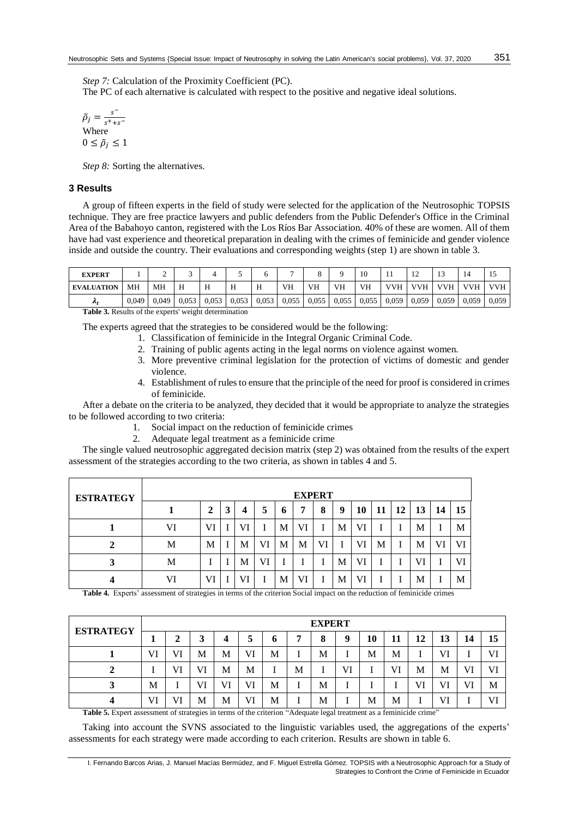*Step 7:* Calculation of the Proximity Coefficient (PC).

The PC of each alternative is calculated with respect to the positive and negative ideal solutions.

 $\tilde{\rho}_j = \frac{s}{s^+ + 1}$  $s^+$ + $s^-$ Where  $0 \leq \tilde{\rho}_i \leq 1$ 

*Step 8:* Sorting the alternatives.

## **3 Results**

A group of fifteen experts in the field of study were selected for the application of the Neutrosophic TOPSIS technique. They are free practice lawyers and public defenders from the Public Defender's Office in the Criminal Area of the Babahoyo canton, registered with the Los Ríos Bar Association. 40% of these are women. All of them have had vast experience and theoretical preparation in dealing with the crimes of feminicide and gender violence inside and outside the country. Their evaluations and corresponding weights (step 1) are shown in table 3.

| <b>EXPERT</b>     |       |       |       |       |       |   |                         |       |       | 10 | . .                 | . .        |            |       | 1 J        |
|-------------------|-------|-------|-------|-------|-------|---|-------------------------|-------|-------|----|---------------------|------------|------------|-------|------------|
| <b>EVALUATION</b> | MН    | MН    |       |       | л     | H | VH                      | VH    | VH    | VH | <b>VVH</b>          | <b>VVH</b> | <b>VVH</b> | VVH   | <b>VVH</b> |
| $\mathbf{r}_1$    | 0.049 | 0.049 | 0.053 | 0.053 | 0,053 |   | $0.053 \mid 0.055 \mid$ | 0.055 | 0,055 |    | $0.055 \quad 0.059$ | 0,059      | 0,059      | 0,059 | 0,059      |

**Table 3.** Results of the experts' weight determination

The experts agreed that the strategies to be considered would be the following:

- 1. Classification of feminicide in the Integral Organic Criminal Code.
- 2. Training of public agents acting in the legal norms on violence against women.
- 3. More preventive criminal legislation for the protection of victims of domestic and gender violence.
- 4. Establishment of rules to ensure that the principle of the need for proof is considered in crimes of feminicide.

After a debate on the criteria to be analyzed, they decided that it would be appropriate to analyze the strategies to be followed according to two criteria:

- 1. Social impact on the reduction of feminicide crimes
- 2. Adequate legal treatment as a feminicide crime

The single valued neutrosophic aggregated decision matrix (step 2) was obtained from the results of the expert assessment of the strategies according to the two criteria, as shown in tables 4 and 5.

| <b>ESTRATEGY</b> |    |                |   |    |    |   | <b>EXPERT</b> |    |   |    |    |    |    |    |    |
|------------------|----|----------------|---|----|----|---|---------------|----|---|----|----|----|----|----|----|
|                  |    | $\overline{2}$ | 3 | 4  | 5  | O | 7             | 8  | 9 | 10 | 11 | 12 | 13 | 14 | 15 |
|                  | VI | VI             |   | VI |    | М | VI            |    | M | VI |    |    | М  |    | M  |
| σ                | M  | М              |   | M  | VI | М | М             | Vl |   | Vl | М  |    | М  | V) | VI |
| 3                | M  |                |   | M  | VI |   |               |    | M | VI |    |    | Vl |    | VI |
|                  | VI | VI             |   | VI |    | М | Vl            |    | M | Vl |    |    | M  |    | M  |

**Table 4.** Experts' assessment of strategies in terms of the criterion Social impact on the reduction of feminicide crimes

| <b>ESTRATEGY</b> |    |        |    |    |    |   |   | <b>EXPERT</b> |    |    |    |    |    |    |    |
|------------------|----|--------|----|----|----|---|---|---------------|----|----|----|----|----|----|----|
|                  |    | ി<br>◢ | 3  | 4  | J  | o | - | 8             | 9  | 10 | 11 | 12 | 13 | 14 | 15 |
|                  | VI | VI     | M  | М  | VI | M |   | М             |    | М  | М  |    | VI |    | VI |
|                  |    | VI     | VI | М  | М  |   | M |               | VI |    | VI | M  | М  | VI | Vl |
| 3                | M  |        | VI | VI | VI | M |   | М             |    |    |    | VI | VI | VI | M  |
|                  | VI | VI     | M  | M  | VI | M |   | М             |    | М  | M  |    | VI |    | VI |

**Table 5.** Expert assessment of strategies in terms of the criterion "Adequate legal treatment as a feminicide crime"

Taking into account the SVNS associated to the linguistic variables used, the aggregations of the experts' assessments for each strategy were made according to each criterion. Results are shown in table 6.

I. Fernando Barcos Arias, J. Manuel Macías Bermúdez, and F. Miguel Estrella Gómez. TOPSIS with a Neutrosophic Approach for a Study of Strategies to Confront the Crime of Feminicide in Ecuador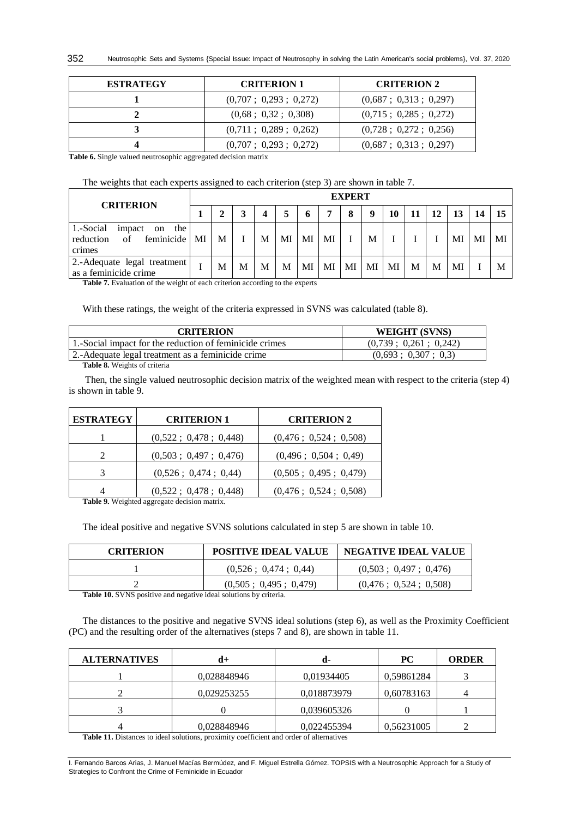| <b>ESTRATEGY</b> | <b>CRITERION 1</b>                  | <b>CRITERION 2</b>                    |
|------------------|-------------------------------------|---------------------------------------|
|                  | (0,707; 0,293; 0,272)               | $(0.687 \; ; \; 0.313 \; ; \; 0.297)$ |
|                  | $(0.68 \; ; \; 0.32 \; ; \; 0.308)$ | (0,715; 0,285; 0,272)                 |
|                  | (0,711; 0,289; 0,262)               | (0,728; 0,272; 0,256)                 |
|                  | (0,707; 0,293; 0,272)               | (0,687; 0,313; 0,297)                 |

**Table 6.** Single valued neutrosophic aggregated decision matrix

The weights that each experts assigned to each criterion (step 3) are shown in table 7.

| <b>CRITERION</b>                                                         |    | <b>EXPERT</b> |   |   |    |    |    |    |    |    |    |    |    |    |    |
|--------------------------------------------------------------------------|----|---------------|---|---|----|----|----|----|----|----|----|----|----|----|----|
|                                                                          |    |               |   |   |    | 6  | ៗ  | 8  | q  | 10 | 11 | 12 | 13 | 14 |    |
| 1.-Social<br>on the<br>impact<br>feminicide<br>reduction<br>of<br>crimes | MI | М             |   | M | MI | MI | MI |    | M  |    |    |    | MI | MI | MI |
| 2.-Adequate legal treatment<br>as a feminicide crime                     |    | M             | M | M | М  | MI | MI | MI | MI | MI | M  | M  | MI |    | M  |

Table 7. Evaluation of the weight of each criterion according to the experts

With these ratings, the weight of the criteria expressed in SVNS was calculated (table 8).

| <b>CRITERION</b>                                        | WEIGHT (SVNS)         |
|---------------------------------------------------------|-----------------------|
| 1. Social impact for the reduction of feminicide crimes | (0.739: 0.261: 0.242) |
| 2.-Adequate legal treatment as a feminicide crime       | (0.693: 0.307: 0.3)   |

**Table 8.** Weights of criteria

Then, the single valued neutrosophic decision matrix of the weighted mean with respect to the criteria (step 4) is shown in table 9.

| <b>ESTRATEGY</b> | <b>CRITERION 1</b>              | <b>CRITERION 2</b>    |
|------------------|---------------------------------|-----------------------|
|                  | (0,522; 0,478; 0,448)           | (0,476; 0,524; 0,508) |
| 2                | (0,503; 0,497; 0,476)           | (0,496; 0,504; 0,49)  |
| 3                | (0,526; 0,474; 0,44)            | (0,505; 0,495; 0,479) |
|                  | $(0.522 \div 0.478 \div 0.448)$ | (0,476; 0,524; 0,508) |

**Table 9.** Weighted aggregate decision matrix.

The ideal positive and negative SVNS solutions calculated in step 5 are shown in table 10.

| <b>CRITERION</b> | <b>POSITIVE IDEAL VALUE</b> | <b>NEGATIVE IDEAL VALUE</b> |
|------------------|-----------------------------|-----------------------------|
|                  | (0.526: 0.474: 0.44)        | (0.503: 0.497: 0.476)       |
|                  | (0.505: 0.495: 0.479)       | (0.476: 0.524: 0.508)       |

**Table 10.** SVNS positive and negative ideal solutions by criteria.

The distances to the positive and negative SVNS ideal solutions (step 6), as well as the Proximity Coefficient (PC) and the resulting order of the alternatives (steps 7 and 8), are shown in table 11.

| <b>ALTERNATIVES</b> | d+          | d-          | <b>PC</b>  | <b>ORDER</b> |  |
|---------------------|-------------|-------------|------------|--------------|--|
|                     | 0,028848946 | 0,01934405  | 0,59861284 |              |  |
|                     | 0,029253255 | 0,018873979 | 0,60783163 |              |  |
|                     |             | 0.039605326 |            |              |  |
|                     | 0,028848946 | 0,022455394 | 0,56231005 |              |  |

**Table 11.** Distances to ideal solutions, proximity coefficient and order of alternatives

I. Fernando Barcos Arias, J. Manuel Macías Bermúdez, and F. Miguel Estrella Gómez. TOPSIS with a Neutrosophic Approach for a Study of Strategies to Confront the Crime of Feminicide in Ecuador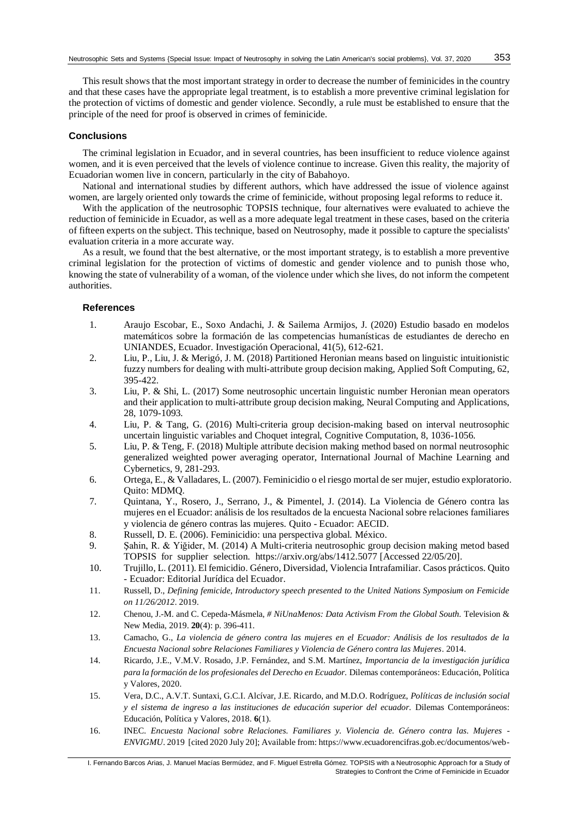This result shows that the most important strategy in order to decrease the number of feminicides in the country and that these cases have the appropriate legal treatment, is to establish a more preventive criminal legislation for the protection of victims of domestic and gender violence. Secondly, a rule must be established to ensure that the principle of the need for proof is observed in crimes of feminicide.

#### **Conclusions**

The criminal legislation in Ecuador, and in several countries, has been insufficient to reduce violence against women, and it is even perceived that the levels of violence continue to increase. Given this reality, the majority of Ecuadorian women live in concern, particularly in the city of Babahoyo.

National and international studies by different authors, which have addressed the issue of violence against women, are largely oriented only towards the crime of feminicide, without proposing legal reforms to reduce it.

With the application of the neutrosophic TOPSIS technique, four alternatives were evaluated to achieve the reduction of feminicide in Ecuador, as well as a more adequate legal treatment in these cases, based on the criteria of fifteen experts on the subject. This technique, based on Neutrosophy, made it possible to capture the specialists' evaluation criteria in a more accurate way.

As a result, we found that the best alternative, or the most important strategy, is to establish a more preventive criminal legislation for the protection of victims of domestic and gender violence and to punish those who, knowing the state of vulnerability of a woman, of the violence under which she lives, do not inform the competent authorities.

#### **References**

- 1. Araujo Escobar, E., Soxo Andachi, J. & Sailema Armijos, J. (2020) Estudio basado en modelos matemáticos sobre la formación de las competencias humanísticas de estudiantes de derecho en UNIANDES, Ecuador. Investigación Operacional, 41(5), 612-621.
- 2. Liu, P., Liu, J. & Merigó, J. M. (2018) Partitioned Heronian means based on linguistic intuitionistic fuzzy numbers for dealing with multi-attribute group decision making, Applied Soft Computing, 62, 395-422.
- 3. Liu, P. & Shi, L. (2017) Some neutrosophic uncertain linguistic number Heronian mean operators and their application to multi-attribute group decision making, Neural Computing and Applications, 28, 1079-1093.
- 4. Liu, P. & Tang, G. (2016) Multi-criteria group decision-making based on interval neutrosophic uncertain linguistic variables and Choquet integral, Cognitive Computation, 8, 1036-1056.
- 5. Liu, P. & Teng, F. (2018) Multiple attribute decision making method based on normal neutrosophic generalized weighted power averaging operator, International Journal of Machine Learning and Cybernetics, 9, 281-293.
- 6. Ortega, E., & Valladares, L. (2007). Feminicidio o el riesgo mortal de ser mujer, estudio exploratorio. Quito: MDMQ.
- 7. Quintana, Y., Rosero, J., Serrano, J., & Pimentel, J. (2014). La Violencia de Género contra las mujeres en el Ecuador: análisis de los resultados de la encuesta Nacional sobre relaciones familiares y violencia de género contras las mujeres. Quito - Ecuador: AECID.
- 8. Russell, D. E. (2006). Feminicidio: una perspectiva global. México.
- 9. Şahin, R. & Yiğider, M. (2014) A Multi-criteria neutrosophic group decision making metod based TOPSIS for supplier selection. https://arxiv.org/abs/1412.5077 [Accessed 22/05/20].
- 10. Trujillo, L. (2011). El femicidio. Género, Diversidad, Violencia Intrafamiliar. Casos prácticos. Quito - Ecuador: Editorial Jurídica del Ecuador.
- 11. Russell, D., *Defining femicide, Introductory speech presented to the United Nations Symposium on Femicide on 11/26/2012*. 2019.
- 12. Chenou, J.-M. and C. Cepeda-Másmela, *# NiUnaMenos: Data Activism From the Global South.* Television & New Media, 2019. **20**(4): p. 396-411.
- 13. Camacho, G., *La violencia de género contra las mujeres en el Ecuador: Análisis de los resultados de la Encuesta Nacional sobre Relaciones Familiares y Violencia de Género contra las Mujeres.* 2014.
- 14. Ricardo, J.E., V.M.V. Rosado, J.P. Fernández, and S.M. Martínez, *Importancia de la investigación jurídica para la formación de los profesionales del Derecho en Ecuador.* Dilemas contemporáneos: Educación, Política y Valores, 2020.
- 15. Vera, D.C., A.V.T. Suntaxi, G.C.I. Alcívar, J.E. Ricardo, and M.D.O. Rodríguez, *Políticas de inclusión social y el sistema de ingreso a las instituciones de educación superior del ecuador.* Dilemas Contemporáneos: Educación, Política y Valores, 2018. **6**(1).
- 16. INEC. *Encuesta Nacional sobre Relaciones. Familiares y. Violencia de. Género contra las. Mujeres - ENVIGMU*. 2019 [cited 2020 July 20]; Available from: https://www.ecuadorencifras.gob.ec/documentos/web-